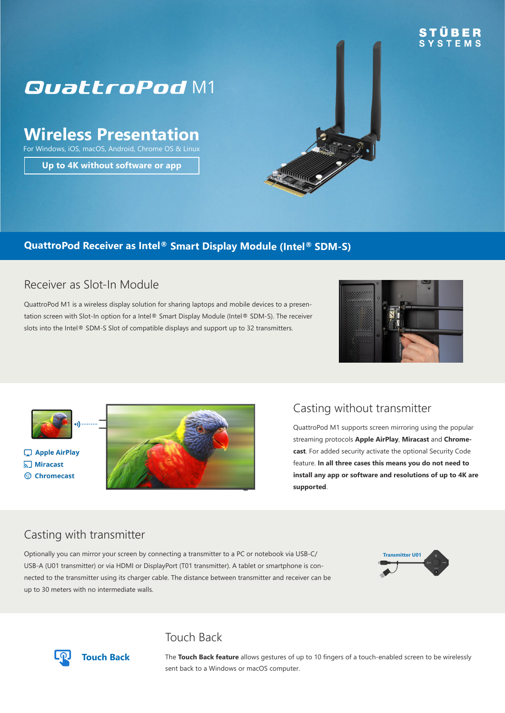### STÜBER **SYSTEMS**

# *QuattroPod* M1

**Wireless Presentation**

For Windows, iOS, macOS, Android, Chrome OS & Linux

**Up to 4K without software or app**

### **QuattroPod Receiver as Intel® Smart Display Module (Intel® SDM-S)**

### Receiver as Slot-In Module

QuattroPod M1 is a wireless display solution for sharing laptops and mobile devices to a presentation screen with Slot-In option for a Intel® Smart Display Module (Intel® SDM-S). The receiver slots into the Intel® SDM-S Slot of compatible displays and support up to 32 transmitters.





**D** Apple AirPlay តា Miracast © Chromecast



### Casting without transmitter

QuattroPod M1 supports screen mirroring using the popular streaming protocols **Apple AirPlay**, **Miracast** and **Chromecast**. For added security activate the optional Security Code feature. **In all three cases this means you do not need to install any app or software and resolutions of up to 4K are supported**.

### Casting with transmitter

Optionally you can mirror your screen by connecting a transmitter to a PC or notebook via USB-C/ USB-A (U01 transmitter) or via HDMI or DisplayPort (T01 transmitter). A tablet or smartphone is connected to the transmitter using its charger cable. The distance between transmitter and receiver can be up to 30 meters with no intermediate walls.



### Touch Back



The **Touch Back feature** allows gestures of up to 10 fingers of a touch-enabled screen to be wirelessly sent back to a Windows or macOS computer.